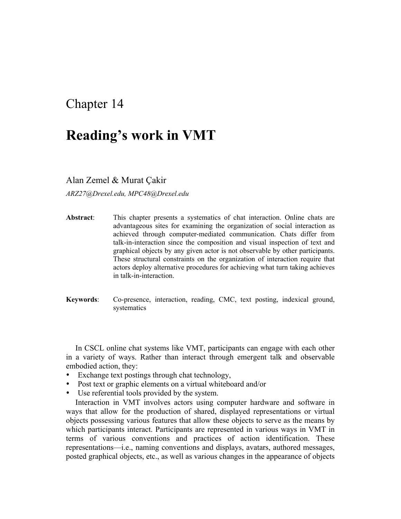# Chapter 14

# **Reading's work in VMT**

#### Alan Zemel & Murat Çakir

#### *ARZ27@Drexel.edu, MPC48@Drexel.edu*

- **Abstract**: This chapter presents a systematics of chat interaction. Online chats are advantageous sites for examining the organization of social interaction as achieved through computer-mediated communication. Chats differ from talk-in-interaction since the composition and visual inspection of text and graphical objects by any given actor is not observable by other participants. These structural constraints on the organization of interaction require that actors deploy alternative procedures for achieving what turn taking achieves in talk-in-interaction.
- **Keywords**: Co-presence, interaction, reading, CMC, text posting, indexical ground, systematics

In CSCL online chat systems like VMT, participants can engage with each other in a variety of ways. Rather than interact through emergent talk and observable embodied action, they:

- Exchange text postings through chat technology,
- Post text or graphic elements on a virtual whiteboard and/or
- Use referential tools provided by the system.

Interaction in VMT involves actors using computer hardware and software in ways that allow for the production of shared, displayed representations or virtual objects possessing various features that allow these objects to serve as the means by which participants interact. Participants are represented in various ways in VMT in terms of various conventions and practices of action identification. These representations—i.e., naming conventions and displays, avatars, authored messages, posted graphical objects, etc., as well as various changes in the appearance of objects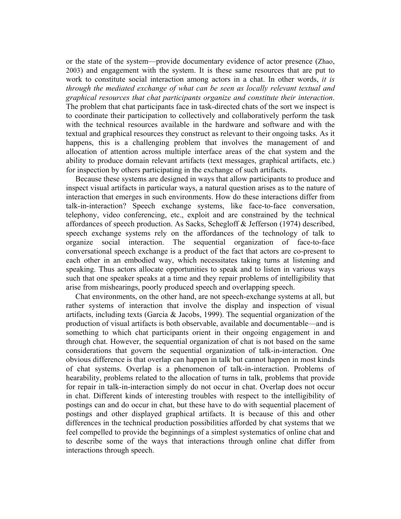or the state of the system—provide documentary evidence of actor presence (Zhao, 2003) and engagement with the system. It is these same resources that are put to work to constitute social interaction among actors in a chat. In other words, *it is through the mediated exchange of what can be seen as locally relevant textual and graphical resources that chat participants organize and constitute their interaction*. The problem that chat participants face in task-directed chats of the sort we inspect is to coordinate their participation to collectively and collaboratively perform the task with the technical resources available in the hardware and software and with the textual and graphical resources they construct as relevant to their ongoing tasks. As it happens, this is a challenging problem that involves the management of and allocation of attention across multiple interface areas of the chat system and the ability to produce domain relevant artifacts (text messages, graphical artifacts, etc.) for inspection by others participating in the exchange of such artifacts.

Because these systems are designed in ways that allow participants to produce and inspect visual artifacts in particular ways, a natural question arises as to the nature of interaction that emerges in such environments. How do these interactions differ from talk-in-interaction? Speech exchange systems, like face-to-face conversation, telephony, video conferencing, etc., exploit and are constrained by the technical affordances of speech production. As Sacks, Schegloff & Jefferson (1974) described, speech exchange systems rely on the affordances of the technology of talk to organize social interaction. The sequential organization of face-to-face conversational speech exchange is a product of the fact that actors are co-present to each other in an embodied way, which necessitates taking turns at listening and speaking. Thus actors allocate opportunities to speak and to listen in various ways such that one speaker speaks at a time and they repair problems of intelligibility that arise from mishearings, poorly produced speech and overlapping speech.

Chat environments, on the other hand, are not speech-exchange systems at all, but rather systems of interaction that involve the display and inspection of visual artifacts, including texts (Garcia & Jacobs, 1999). The sequential organization of the production of visual artifacts is both observable, available and documentable—and is something to which chat participants orient in their ongoing engagement in and through chat. However, the sequential organization of chat is not based on the same considerations that govern the sequential organization of talk-in-interaction. One obvious difference is that overlap can happen in talk but cannot happen in most kinds of chat systems. Overlap is a phenomenon of talk-in-interaction. Problems of hearability, problems related to the allocation of turns in talk, problems that provide for repair in talk-in-interaction simply do not occur in chat. Overlap does not occur in chat. Different kinds of interesting troubles with respect to the intelligibility of postings can and do occur in chat, but these have to do with sequential placement of postings and other displayed graphical artifacts. It is because of this and other differences in the technical production possibilities afforded by chat systems that we feel compelled to provide the beginnings of a simplest systematics of online chat and to describe some of the ways that interactions through online chat differ from interactions through speech.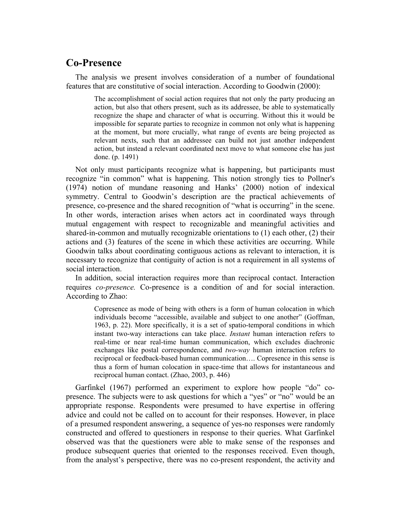# **Co-Presence**

The analysis we present involves consideration of a number of foundational features that are constitutive of social interaction. According to Goodwin (2000):

> The accomplishment of social action requires that not only the party producing an action, but also that others present, such as its addressee, be able to systematically recognize the shape and character of what is occurring. Without this it would be impossible for separate parties to recognize in common not only what is happening at the moment, but more crucially, what range of events are being projected as relevant nexts, such that an addressee can build not just another independent action, but instead a relevant coordinated next move to what someone else has just done. (p. 1491)

Not only must participants recognize what is happening, but participants must recognize "in common" what is happening. This notion strongly ties to Pollner's (1974) notion of mundane reasoning and Hanks' (2000) notion of indexical symmetry. Central to Goodwin's description are the practical achievements of presence, co-presence and the shared recognition of "what is occurring" in the scene. In other words, interaction arises when actors act in coordinated ways through mutual engagement with respect to recognizable and meaningful activities and shared-in-common and mutually recognizable orientations to (1) each other, (2) their actions and (3) features of the scene in which these activities are occurring. While Goodwin talks about coordinating contiguous actions as relevant to interaction, it is necessary to recognize that contiguity of action is not a requirement in all systems of social interaction.

In addition, social interaction requires more than reciprocal contact. Interaction requires *co-presence.* Co-presence is a condition of and for social interaction. According to Zhao:

> Copresence as mode of being with others is a form of human colocation in which individuals become "accessible, available and subject to one another" (Goffman, 1963, p. 22). More specifically, it is a set of spatio-temporal conditions in which instant two-way interactions can take place. *Instant* human interaction refers to real-time or near real-time human communication, which excludes diachronic exchanges like postal correspondence, and *two-way* human interaction refers to reciprocal or feedback-based human communication…. Copresence in this sense is thus a form of human colocation in space-time that allows for instantaneous and reciprocal human contact. (Zhao, 2003, p. 446)

Garfinkel (1967) performed an experiment to explore how people "do" copresence. The subjects were to ask questions for which a "yes" or "no" would be an appropriate response. Respondents were presumed to have expertise in offering advice and could not be called on to account for their responses. However, in place of a presumed respondent answering, a sequence of yes-no responses were randomly constructed and offered to questioners in response to their queries. What Garfinkel observed was that the questioners were able to make sense of the responses and produce subsequent queries that oriented to the responses received. Even though, from the analyst's perspective, there was no co-present respondent, the activity and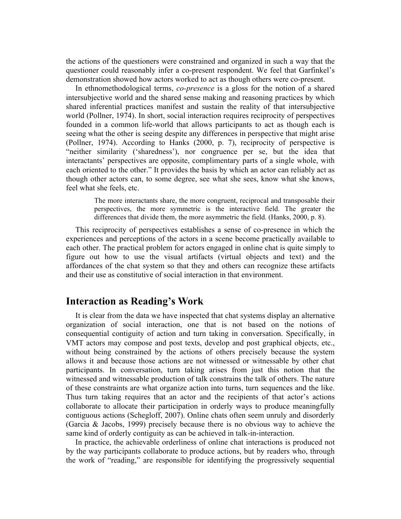the actions of the questioners were constrained and organized in such a way that the questioner could reasonably infer a co-present respondent. We feel that Garfinkel's demonstration showed how actors worked to act as though others were co-present.

In ethnomethodological terms, *co-presence* is a gloss for the notion of a shared intersubjective world and the shared sense making and reasoning practices by which shared inferential practices manifest and sustain the reality of that intersubjective world (Pollner, 1974). In short, social interaction requires reciprocity of perspectives founded in a common life-world that allows participants to act as though each is seeing what the other is seeing despite any differences in perspective that might arise (Pollner, 1974). According to Hanks (2000, p. 7), reciprocity of perspective is "neither similarity ('sharedness'), nor congruence per se, but the idea that interactants' perspectives are opposite, complimentary parts of a single whole, with each oriented to the other." It provides the basis by which an actor can reliably act as though other actors can, to some degree, see what she sees, know what she knows, feel what she feels, etc.

> The more interactants share, the more congruent, reciprocal and transposable their perspectives, the more symmetric is the interactive field. The greater the differences that divide them, the more asymmetric the field. (Hanks, 2000, p. 8).

This reciprocity of perspectives establishes a sense of co-presence in which the experiences and perceptions of the actors in a scene become practically available to each other. The practical problem for actors engaged in online chat is quite simply to figure out how to use the visual artifacts (virtual objects and text) and the affordances of the chat system so that they and others can recognize these artifacts and their use as constitutive of social interaction in that environment.

# **Interaction as Reading's Work**

It is clear from the data we have inspected that chat systems display an alternative organization of social interaction, one that is not based on the notions of consequential contiguity of action and turn taking in conversation. Specifically, in VMT actors may compose and post texts, develop and post graphical objects, etc., without being constrained by the actions of others precisely because the system allows it and because those actions are not witnessed or witnessable by other chat participants. In conversation, turn taking arises from just this notion that the witnessed and witnessable production of talk constrains the talk of others. The nature of these constraints are what organize action into turns, turn sequences and the like. Thus turn taking requires that an actor and the recipients of that actor's actions collaborate to allocate their participation in orderly ways to produce meaningfully contiguous actions (Schegloff, 2007). Online chats often seem unruly and disorderly (Garcia & Jacobs, 1999) precisely because there is no obvious way to achieve the same kind of orderly contiguity as can be achieved in talk-in-interaction.

In practice, the achievable orderliness of online chat interactions is produced not by the way participants collaborate to produce actions, but by readers who, through the work of "reading," are responsible for identifying the progressively sequential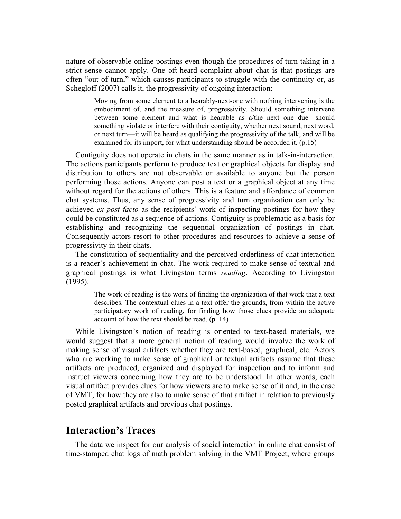nature of observable online postings even though the procedures of turn-taking in a strict sense cannot apply. One oft-heard complaint about chat is that postings are often "out of turn," which causes participants to struggle with the continuity or, as Schegloff (2007) calls it, the progressivity of ongoing interaction:

> Moving from some element to a hearably-next-one with nothing intervening is the embodiment of, and the measure of, progressivity. Should something intervene between some element and what is hearable as a/the next one due—should something violate or interfere with their contiguity, whether next sound, next word, or next turn—it will be heard as qualifying the progressivity of the talk, and will be examined for its import, for what understanding should be accorded it. (p.15)

Contiguity does not operate in chats in the same manner as in talk-in-interaction. The actions participants perform to produce text or graphical objects for display and distribution to others are not observable or available to anyone but the person performing those actions. Anyone can post a text or a graphical object at any time without regard for the actions of others. This is a feature and affordance of common chat systems. Thus, any sense of progressivity and turn organization can only be achieved *ex post facto* as the recipients' work of inspecting postings for how they could be constituted as a sequence of actions. Contiguity is problematic as a basis for establishing and recognizing the sequential organization of postings in chat. Consequently actors resort to other procedures and resources to achieve a sense of progressivity in their chats.

The constitution of sequentiality and the perceived orderliness of chat interaction is a reader's achievement in chat. The work required to make sense of textual and graphical postings is what Livingston terms *reading*. According to Livingston (1995):

> The work of reading is the work of finding the organization of that work that a text describes. The contextual clues in a text offer the grounds, from within the active participatory work of reading, for finding how those clues provide an adequate account of how the text should be read. (p. 14)

While Livingston's notion of reading is oriented to text-based materials, we would suggest that a more general notion of reading would involve the work of making sense of visual artifacts whether they are text-based, graphical, etc. Actors who are working to make sense of graphical or textual artifacts assume that these artifacts are produced, organized and displayed for inspection and to inform and instruct viewers concerning how they are to be understood. In other words, each visual artifact provides clues for how viewers are to make sense of it and, in the case of VMT, for how they are also to make sense of that artifact in relation to previously posted graphical artifacts and previous chat postings.

#### **Interaction's Traces**

The data we inspect for our analysis of social interaction in online chat consist of time-stamped chat logs of math problem solving in the VMT Project, where groups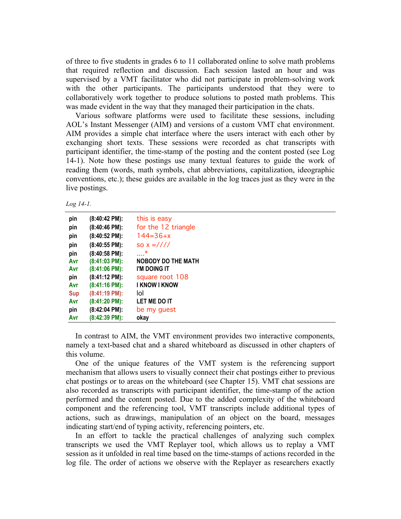of three to five students in grades 6 to 11 collaborated online to solve math problems that required reflection and discussion. Each session lasted an hour and was supervised by a VMT facilitator who did not participate in problem-solving work with the other participants. The participants understood that they were to collaboratively work together to produce solutions to posted math problems. This was made evident in the way that they managed their participation in the chats.

Various software platforms were used to facilitate these sessions, including AOL's Instant Messenger (AIM) and versions of a custom VMT chat environment. AIM provides a simple chat interface where the users interact with each other by exchanging short texts. These sessions were recorded as chat transcripts with participant identifier, the time-stamp of the posting and the content posted (see Log 14-1). Note how these postings use many textual features to guide the work of reading them (words, math symbols, chat abbreviations, capitalization, ideographic conventions, etc.); these guides are available in the log traces just as they were in the live postings.

*Log 14-1.*

| pin        | $(8:40:42 \text{ PM})$ : | this is easy              |
|------------|--------------------------|---------------------------|
| pin        | $(8:40:46 \text{ PM})$ : | for the 12 triangle       |
| pin        | $(8:40:52$ PM):          | $144 = 36 + x$            |
| pin        | $(8:40:55$ PM):          | $SO X = 1111$             |
| pin        | $(8:40:58 \text{ PM})$ : | $\star$<br><b></b>        |
| Avr        | $(8:41:03$ PM):          | <b>NOBODY DO THE MATH</b> |
| Avr        | $(8:41:06$ PM):          | I'M DOING IT              |
| pin        | $(8:41:12 \text{ PM})$ : | square root 108           |
| Avr        | $(8:41:16 \text{ PM})$ : | <b>I KNOW I KNOW</b>      |
| <b>Sup</b> | $(8:41:19$ PM):          | lol                       |
| Avr        | $(8:41:20 \text{ PM})$ : | LET ME DO IT              |
| pin        | (8:42:04 PM):            | be my guest               |
| Avr        | (8:42:39 PM):            | okay                      |

In contrast to AIM, the VMT environment provides two interactive components, namely a text-based chat and a shared whiteboard as discussed in other chapters of this volume.

One of the unique features of the VMT system is the referencing support mechanism that allows users to visually connect their chat postings either to previous chat postings or to areas on the whiteboard (see Chapter 15). VMT chat sessions are also recorded as transcripts with participant identifier, the time-stamp of the action performed and the content posted. Due to the added complexity of the whiteboard component and the referencing tool, VMT transcripts include additional types of actions, such as drawings, manipulation of an object on the board, messages indicating start/end of typing activity, referencing pointers, etc.

In an effort to tackle the practical challenges of analyzing such complex transcripts we used the VMT Replayer tool, which allows us to replay a VMT session as it unfolded in real time based on the time-stamps of actions recorded in the log file. The order of actions we observe with the Replayer as researchers exactly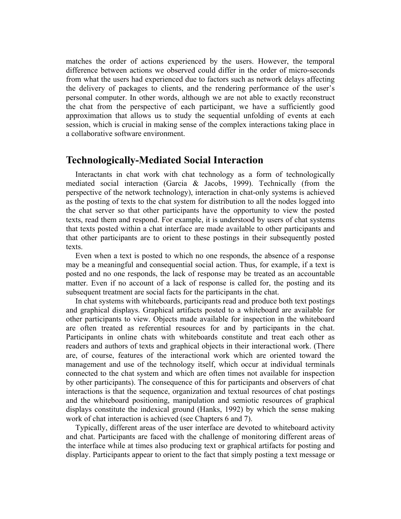matches the order of actions experienced by the users. However, the temporal difference between actions we observed could differ in the order of micro-seconds from what the users had experienced due to factors such as network delays affecting the delivery of packages to clients, and the rendering performance of the user's personal computer. In other words, although we are not able to exactly reconstruct the chat from the perspective of each participant, we have a sufficiently good approximation that allows us to study the sequential unfolding of events at each session, which is crucial in making sense of the complex interactions taking place in a collaborative software environment.

### **Technologically-Mediated Social Interaction**

Interactants in chat work with chat technology as a form of technologically mediated social interaction (Garcia & Jacobs, 1999). Technically (from the perspective of the network technology), interaction in chat-only systems is achieved as the posting of texts to the chat system for distribution to all the nodes logged into the chat server so that other participants have the opportunity to view the posted texts, read them and respond. For example, it is understood by users of chat systems that texts posted within a chat interface are made available to other participants and that other participants are to orient to these postings in their subsequently posted texts.

Even when a text is posted to which no one responds, the absence of a response may be a meaningful and consequential social action. Thus, for example, if a text is posted and no one responds, the lack of response may be treated as an accountable matter. Even if no account of a lack of response is called for, the posting and its subsequent treatment are social facts for the participants in the chat.

In chat systems with whiteboards, participants read and produce both text postings and graphical displays. Graphical artifacts posted to a whiteboard are available for other participants to view. Objects made available for inspection in the whiteboard are often treated as referential resources for and by participants in the chat. Participants in online chats with whiteboards constitute and treat each other as readers and authors of texts and graphical objects in their interactional work. (There are, of course, features of the interactional work which are oriented toward the management and use of the technology itself, which occur at individual terminals connected to the chat system and which are often times not available for inspection by other participants). The consequence of this for participants and observers of chat interactions is that the sequence, organization and textual resources of chat postings and the whiteboard positioning, manipulation and semiotic resources of graphical displays constitute the indexical ground (Hanks, 1992) by which the sense making work of chat interaction is achieved (see Chapters 6 and 7).

Typically, different areas of the user interface are devoted to whiteboard activity and chat. Participants are faced with the challenge of monitoring different areas of the interface while at times also producing text or graphical artifacts for posting and display. Participants appear to orient to the fact that simply posting a text message or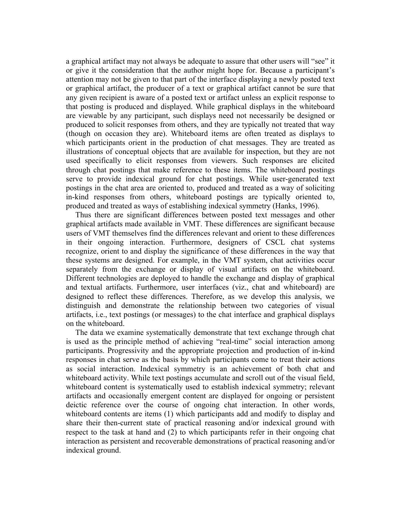a graphical artifact may not always be adequate to assure that other users will "see" it or give it the consideration that the author might hope for. Because a participant's attention may not be given to that part of the interface displaying a newly posted text or graphical artifact, the producer of a text or graphical artifact cannot be sure that any given recipient is aware of a posted text or artifact unless an explicit response to that posting is produced and displayed. While graphical displays in the whiteboard are viewable by any participant, such displays need not necessarily be designed or produced to solicit responses from others, and they are typically not treated that way (though on occasion they are). Whiteboard items are often treated as displays to which participants orient in the production of chat messages. They are treated as illustrations of conceptual objects that are available for inspection, but they are not used specifically to elicit responses from viewers. Such responses are elicited through chat postings that make reference to these items. The whiteboard postings serve to provide indexical ground for chat postings. While user-generated text postings in the chat area are oriented to, produced and treated as a way of soliciting in-kind responses from others, whiteboard postings are typically oriented to, produced and treated as ways of establishing indexical symmetry (Hanks, 1996).

Thus there are significant differences between posted text messages and other graphical artifacts made available in VMT. These differences are significant because users of VMT themselves find the differences relevant and orient to these differences in their ongoing interaction. Furthermore, designers of CSCL chat systems recognize, orient to and display the significance of these differences in the way that these systems are designed. For example, in the VMT system, chat activities occur separately from the exchange or display of visual artifacts on the whiteboard. Different technologies are deployed to handle the exchange and display of graphical and textual artifacts. Furthermore, user interfaces (viz., chat and whiteboard) are designed to reflect these differences. Therefore, as we develop this analysis, we distinguish and demonstrate the relationship between two categories of visual artifacts, i.e., text postings (or messages) to the chat interface and graphical displays on the whiteboard.

The data we examine systematically demonstrate that text exchange through chat is used as the principle method of achieving "real-time" social interaction among participants. Progressivity and the appropriate projection and production of in-kind responses in chat serve as the basis by which participants come to treat their actions as social interaction. Indexical symmetry is an achievement of both chat and whiteboard activity. While text postings accumulate and scroll out of the visual field, whiteboard content is systematically used to establish indexical symmetry; relevant artifacts and occasionally emergent content are displayed for ongoing or persistent deictic reference over the course of ongoing chat interaction. In other words, whiteboard contents are items (1) which participants add and modify to display and share their then-current state of practical reasoning and/or indexical ground with respect to the task at hand and (2) to which participants refer in their ongoing chat interaction as persistent and recoverable demonstrations of practical reasoning and/or indexical ground.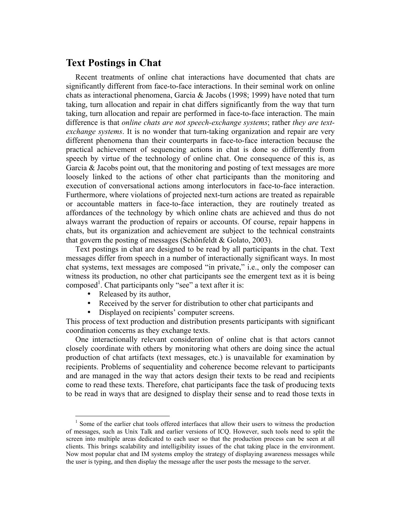# **Text Postings in Chat**

Recent treatments of online chat interactions have documented that chats are significantly different from face-to-face interactions. In their seminal work on online chats as interactional phenomena, Garcia & Jacobs (1998; 1999) have noted that turn taking, turn allocation and repair in chat differs significantly from the way that turn taking, turn allocation and repair are performed in face-to-face interaction. The main difference is that *online chats are not speech-exchange systems*; rather *they are textexchange systems*. It is no wonder that turn-taking organization and repair are very different phenomena than their counterparts in face-to-face interaction because the practical achievement of sequencing actions in chat is done so differently from speech by virtue of the technology of online chat. One consequence of this is, as Garcia & Jacobs point out, that the monitoring and posting of text messages are more loosely linked to the actions of other chat participants than the monitoring and execution of conversational actions among interlocutors in face-to-face interaction. Furthermore, where violations of projected next-turn actions are treated as repairable or accountable matters in face-to-face interaction, they are routinely treated as affordances of the technology by which online chats are achieved and thus do not always warrant the production of repairs or accounts. Of course, repair happens in chats, but its organization and achievement are subject to the technical constraints that govern the posting of messages (Schönfeldt & Golato, 2003).

Text postings in chat are designed to be read by all participants in the chat. Text messages differ from speech in a number of interactionally significant ways. In most chat systems, text messages are composed "in private," i.e., only the composer can witness its production, no other chat participants see the emergent text as it is being composed<sup>1</sup>. Chat participants only "see" a text after it is:

- Released by its author,
- Received by the server for distribution to other chat participants and
- Displayed on recipients' computer screens.

This process of text production and distribution presents participants with significant coordination concerns as they exchange texts.

One interactionally relevant consideration of online chat is that actors cannot closely coordinate with others by monitoring what others are doing since the actual production of chat artifacts (text messages, etc.) is unavailable for examination by recipients. Problems of sequentiality and coherence become relevant to participants and are managed in the way that actors design their texts to be read and recipients come to read these texts. Therefore, chat participants face the task of producing texts to be read in ways that are designed to display their sense and to read those texts in

Some of the earlier chat tools offered interfaces that allow their users to witness the production of messages, such as Unix Talk and earlier versions of ICQ. However, such tools need to split the screen into multiple areas dedicated to each user so that the production process can be seen at all clients. This brings scalability and intelligibility issues of the chat taking place in the environment. Now most popular chat and IM systems employ the strategy of displaying awareness messages while the user is typing, and then display the message after the user posts the message to the server.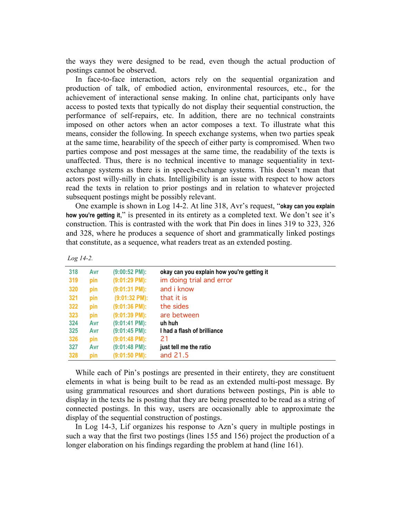the ways they were designed to be read, even though the actual production of postings cannot be observed.

In face-to-face interaction, actors rely on the sequential organization and production of talk, of embodied action, environmental resources, etc., for the achievement of interactional sense making. In online chat, participants only have access to posted texts that typically do not display their sequential construction, the performance of self-repairs, etc. In addition, there are no technical constraints imposed on other actors when an actor composes a text. To illustrate what this means, consider the following. In speech exchange systems, when two parties speak at the same time, hearability of the speech of either party is compromised. When two parties compose and post messages at the same time, the readability of the texts is unaffected. Thus, there is no technical incentive to manage sequentiality in textexchange systems as there is in speech-exchange systems. This doesn't mean that actors post willy-nilly in chats. Intelligibility is an issue with respect to how actors read the texts in relation to prior postings and in relation to whatever projected subsequent postings might be possibly relevant.

One example is shown in Log 14-2. At line 318, Avr's request, "**okay can you explain how you're getting it**," is presented in its entirety as a completed text. We don't see it's construction. This is contrasted with the work that Pin does in lines 319 to 323, 326 and 328, where he produces a sequence of short and grammatically linked postings that constitute, as a sequence, what readers treat as an extended posting.

|--|--|--|

| 318 | <b>Avr</b> | $(9:00:52$ PM):          | okay can you explain how you're getting it |  |
|-----|------------|--------------------------|--------------------------------------------|--|
| 319 | pin        | $(9:01:29$ PM):          | im doing trial and error                   |  |
| 320 | pin        | $(9:01:31$ PM):          | and i know                                 |  |
| 321 | pin        | $(9:01:32$ PM):          | that it is                                 |  |
| 322 | pin        | $(9:01:36$ PM):          | the sides                                  |  |
| 323 | pin        | $(9:01:39$ PM):          | are between                                |  |
| 324 | Avr        | $(9:01:41$ PM):          | uh huh                                     |  |
| 325 | Avr        | (9:01:45 PM):            | I had a flash of brilliance                |  |
| 326 | pin        | $(9:01:48 \text{ PM})$ : | 21                                         |  |
| 327 | Avr        | $(9:01:48 \text{ PM})$ : | just tell me the ratio                     |  |
| 328 | pin        | $(9:01:50$ PM):          | and 21.5                                   |  |
|     |            |                          |                                            |  |

While each of Pin's postings are presented in their entirety, they are constituent elements in what is being built to be read as an extended multi-post message. By using grammatical resources and short durations between postings, Pin is able to display in the texts he is posting that they are being presented to be read as a string of connected postings. In this way, users are occasionally able to approximate the display of the sequential construction of postings.

In Log 14-3, Lif organizes his response to Azn's query in multiple postings in such a way that the first two postings (lines 155 and 156) project the production of a longer elaboration on his findings regarding the problem at hand (line 161).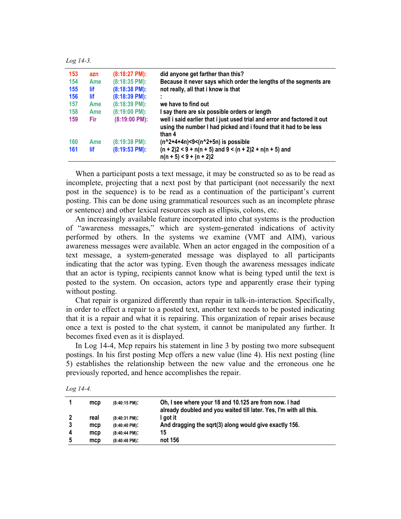| v.<br>7 |  |  |
|---------|--|--|
|---------|--|--|

| 153 | azn        | $(8:18:27 \text{ PM})$ : | did anyone get farther than this?                                                                                                                      |
|-----|------------|--------------------------|--------------------------------------------------------------------------------------------------------------------------------------------------------|
| 154 | <b>Ame</b> | $(8:18:35$ PM):          | Because it never says which order the lengths of the segments are                                                                                      |
| 155 | lif        | $(8:18:38 \text{ PM})$ : | not really, all that i know is that                                                                                                                    |
| 156 | lif        | $(8:18:39$ PM):          | ÷                                                                                                                                                      |
| 157 | Ame        | $(8:18:39$ PM):          | we have to find out                                                                                                                                    |
| 158 | Ame        | $(8:19:00$ PM $):$       | I say there are six possible orders or length                                                                                                          |
| 159 | Fir        | $(8:19:00$ PM $):$       | well i said earlier that i just used trial and error and factored it out<br>using the number I had picked and i found that it had to be less<br>than 4 |
| 160 | Ame        | $(8:19:38 \text{ PM})$ : | $(n^2+4+4n) < 9 < (n^2+5n)$ is possible                                                                                                                |
| 161 | lif        | $(8:19:53$ PM):          | $(n + 2)2 < 9 + n(n + 5)$ and $9 < (n + 2)2 + n(n + 5)$ and<br>$n(n + 5) < 9 + (n + 2)2$                                                               |

When a participant posts a text message, it may be constructed so as to be read as incomplete, projecting that a next post by that participant (not necessarily the next post in the sequence) is to be read as a continuation of the participant's current posting. This can be done using grammatical resources such as an incomplete phrase or sentence) and other lexical resources such as ellipsis, colons, etc.

An increasingly available feature incorporated into chat systems is the production of "awareness messages," which are system-generated indications of activity performed by others. In the systems we examine (VMT and AIM), various awareness messages were available. When an actor engaged in the composition of a text message, a system-generated message was displayed to all participants indicating that the actor was typing. Even though the awareness messages indicate that an actor is typing, recipients cannot know what is being typed until the text is posted to the system. On occasion, actors type and apparently erase their typing without posting.

Chat repair is organized differently than repair in talk-in-interaction. Specifically, in order to effect a repair to a posted text, another text needs to be posted indicating that it is a repair and what it is repairing. This organization of repair arises because once a text is posted to the chat system, it cannot be manipulated any further. It becomes fixed even as it is displayed.

In Log 14-4, Mcp repairs his statement in line 3 by posting two more subsequent postings. In his first posting Mcp offers a new value (line 4). His next posting (line 5) establishes the relationship between the new value and the erroneous one he previously reported, and hence accomplishes the repair.

| ı.<br>r |  |
|---------|--|
|         |  |

|   | mcp  | $(8:40:15$ PM):          | Oh, I see where your 18 and 10.125 are from now. I had<br>already doubled and you waited till later. Yes, I'm with all this. |
|---|------|--------------------------|------------------------------------------------------------------------------------------------------------------------------|
|   | real | $(8:40:31$ PM):          | l aot it                                                                                                                     |
| 3 | mcp  | $(8:40:40 \text{ PM})$ : | And dragging the sqrt(3) along would give exactly 156.                                                                       |
| 4 | mcp  | $(8:40:44 \text{ PM})$ : | 15                                                                                                                           |
| 5 | mcp  | $(8:40:48 \text{ PM})$ : | not 156                                                                                                                      |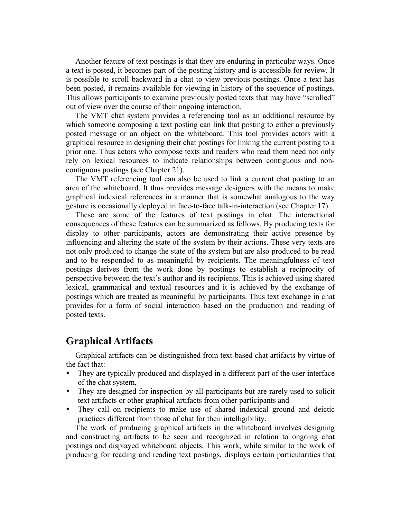Another feature of text postings is that they are enduring in particular ways. Once a text is posted, it becomes part of the posting history and is accessible for review. It is possible to scroll backward in a chat to view previous postings. Once a text has been posted, it remains available for viewing in history of the sequence of postings. This allows participants to examine previously posted texts that may have "scrolled" out of view over the course of their ongoing interaction.

The VMT chat system provides a referencing tool as an additional resource by which someone composing a text posting can link that posting to either a previously posted message or an object on the whiteboard. This tool provides actors with a graphical resource in designing their chat postings for linking the current posting to a prior one. Thus actors who compose texts and readers who read them need not only rely on lexical resources to indicate relationships between contiguous and noncontiguous postings (see Chapter 21).

The VMT referencing tool can also be used to link a current chat posting to an area of the whiteboard. It thus provides message designers with the means to make graphical indexical references in a manner that is somewhat analogous to the way gesture is occasionally deployed in face-to-face talk-in-interaction (see Chapter 17).

These are some of the features of text postings in chat. The interactional consequences of these features can be summarized as follows. By producing texts for display to other participants, actors are demonstrating their active presence by influencing and altering the state of the system by their actions. These very texts are not only produced to change the state of the system but are also produced to be read and to be responded to as meaningful by recipients. The meaningfulness of text postings derives from the work done by postings to establish a reciprocity of perspective between the text's author and its recipients. This is achieved using shared lexical, grammatical and textual resources and it is achieved by the exchange of postings which are treated as meaningful by participants. Thus text exchange in chat provides for a form of social interaction based on the production and reading of posted texts.

#### **Graphical Artifacts**

Graphical artifacts can be distinguished from text-based chat artifacts by virtue of the fact that:

- They are typically produced and displayed in a different part of the user interface of the chat system,
- They are designed for inspection by all participants but are rarely used to solicit text artifacts or other graphical artifacts from other participants and
- They call on recipients to make use of shared indexical ground and deictic practices different from those of chat for their intelligibility.

The work of producing graphical artifacts in the whiteboard involves designing and constructing artifacts to be seen and recognized in relation to ongoing chat postings and displayed whiteboard objects. This work, while similar to the work of producing for reading and reading text postings, displays certain particularities that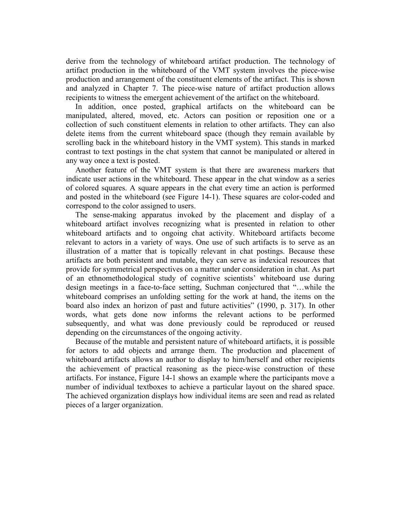derive from the technology of whiteboard artifact production. The technology of artifact production in the whiteboard of the VMT system involves the piece-wise production and arrangement of the constituent elements of the artifact. This is shown and analyzed in Chapter 7. The piece-wise nature of artifact production allows recipients to witness the emergent achievement of the artifact on the whiteboard.

In addition, once posted, graphical artifacts on the whiteboard can be manipulated, altered, moved, etc. Actors can position or reposition one or a collection of such constituent elements in relation to other artifacts. They can also delete items from the current whiteboard space (though they remain available by scrolling back in the whiteboard history in the VMT system). This stands in marked contrast to text postings in the chat system that cannot be manipulated or altered in any way once a text is posted.

Another feature of the VMT system is that there are awareness markers that indicate user actions in the whiteboard. These appear in the chat window as a series of colored squares. A square appears in the chat every time an action is performed and posted in the whiteboard (see Figure 14-1). These squares are color-coded and correspond to the color assigned to users.

The sense-making apparatus invoked by the placement and display of a whiteboard artifact involves recognizing what is presented in relation to other whiteboard artifacts and to ongoing chat activity. Whiteboard artifacts become relevant to actors in a variety of ways. One use of such artifacts is to serve as an illustration of a matter that is topically relevant in chat postings. Because these artifacts are both persistent and mutable, they can serve as indexical resources that provide for symmetrical perspectives on a matter under consideration in chat. As part of an ethnomethodological study of cognitive scientists' whiteboard use during design meetings in a face-to-face setting, Suchman conjectured that "…while the whiteboard comprises an unfolding setting for the work at hand, the items on the board also index an horizon of past and future activities" (1990, p. 317). In other words, what gets done now informs the relevant actions to be performed subsequently, and what was done previously could be reproduced or reused depending on the circumstances of the ongoing activity.

Because of the mutable and persistent nature of whiteboard artifacts, it is possible for actors to add objects and arrange them. The production and placement of whiteboard artifacts allows an author to display to him/herself and other recipients the achievement of practical reasoning as the piece-wise construction of these artifacts. For instance, Figure 14-1 shows an example where the participants move a number of individual textboxes to achieve a particular layout on the shared space. The achieved organization displays how individual items are seen and read as related pieces of a larger organization.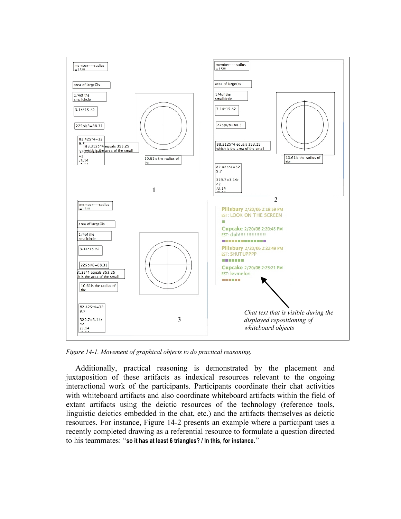

*Figure 14-1. Movement of graphical objects to do practical reasoning.*

Additionally, practical reasoning is demonstrated by the placement and juxtaposition of these artifacts as indexical resources relevant to the ongoing interactional work of the participants. Participants coordinate their chat activities with whiteboard artifacts and also coordinate whiteboard artifacts within the field of extant artifacts using the deictic resources of the technology (reference tools, linguistic deictics embedded in the chat, etc.) and the artifacts themselves as deictic resources. For instance, Figure 14-2 presents an example where a participant uses a recently completed drawing as a referential resource to formulate a question directed to his teammates: "**so it has at least 6 triangles? / In this, for instance**."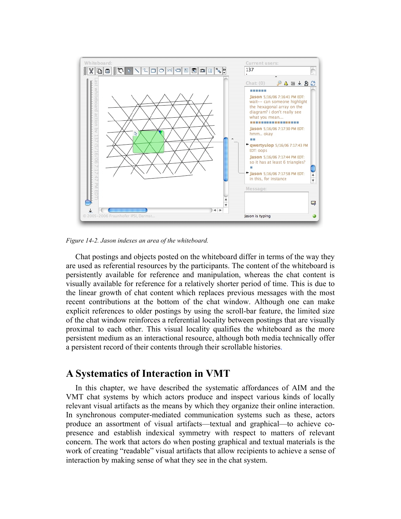

*Figure 14-2. Jason indexes an area of the whiteboard.*

Chat postings and objects posted on the whiteboard differ in terms of the way they are used as referential resources by the participants. The content of the whiteboard is persistently available for reference and manipulation, whereas the chat content is visually available for reference for a relatively shorter period of time. This is due to the linear growth of chat content which replaces previous messages with the most recent contributions at the bottom of the chat window. Although one can make explicit references to older postings by using the scroll-bar feature, the limited size of the chat window reinforces a referential locality between postings that are visually proximal to each other. This visual locality qualifies the whiteboard as the more persistent medium as an interactional resource, although both media technically offer a persistent record of their contents through their scrollable histories.

### **A Systematics of Interaction in VMT**

In this chapter, we have described the systematic affordances of AIM and the VMT chat systems by which actors produce and inspect various kinds of locally relevant visual artifacts as the means by which they organize their online interaction. In synchronous computer-mediated communication systems such as these, actors produce an assortment of visual artifacts—textual and graphical—to achieve copresence and establish indexical symmetry with respect to matters of relevant concern. The work that actors do when posting graphical and textual materials is the work of creating "readable" visual artifacts that allow recipients to achieve a sense of interaction by making sense of what they see in the chat system.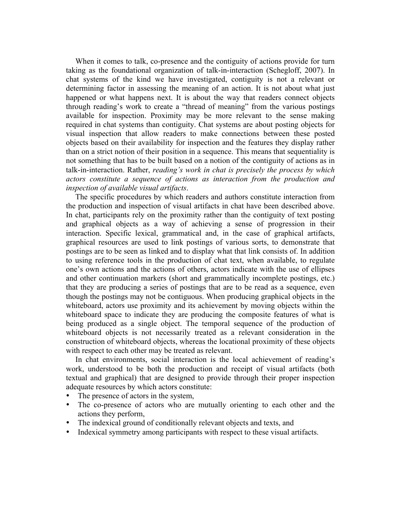When it comes to talk, co-presence and the contiguity of actions provide for turn taking as the foundational organization of talk-in-interaction (Schegloff, 2007). In chat systems of the kind we have investigated, contiguity is not a relevant or determining factor in assessing the meaning of an action. It is not about what just happened or what happens next. It is about the way that readers connect objects through reading's work to create a "thread of meaning" from the various postings available for inspection. Proximity may be more relevant to the sense making required in chat systems than contiguity. Chat systems are about posting objects for visual inspection that allow readers to make connections between these posted objects based on their availability for inspection and the features they display rather than on a strict notion of their position in a sequence. This means that sequentiality is not something that has to be built based on a notion of the contiguity of actions as in talk-in-interaction. Rather, *reading's work in chat is precisely the process by which actors constitute a sequence of actions as interaction from the production and inspection of available visual artifacts*.

The specific procedures by which readers and authors constitute interaction from the production and inspection of visual artifacts in chat have been described above. In chat, participants rely on the proximity rather than the contiguity of text posting and graphical objects as a way of achieving a sense of progression in their interaction. Specific lexical, grammatical and, in the case of graphical artifacts, graphical resources are used to link postings of various sorts, to demonstrate that postings are to be seen as linked and to display what that link consists of. In addition to using reference tools in the production of chat text, when available, to regulate one's own actions and the actions of others, actors indicate with the use of ellipses and other continuation markers (short and grammatically incomplete postings, etc.) that they are producing a series of postings that are to be read as a sequence, even though the postings may not be contiguous. When producing graphical objects in the whiteboard, actors use proximity and its achievement by moving objects within the whiteboard space to indicate they are producing the composite features of what is being produced as a single object. The temporal sequence of the production of whiteboard objects is not necessarily treated as a relevant consideration in the construction of whiteboard objects, whereas the locational proximity of these objects with respect to each other may be treated as relevant.

In chat environments, social interaction is the local achievement of reading's work, understood to be both the production and receipt of visual artifacts (both textual and graphical) that are designed to provide through their proper inspection adequate resources by which actors constitute:

- The presence of actors in the system,
- The co-presence of actors who are mutually orienting to each other and the actions they perform,
- The indexical ground of conditionally relevant objects and texts, and
- Indexical symmetry among participants with respect to these visual artifacts.